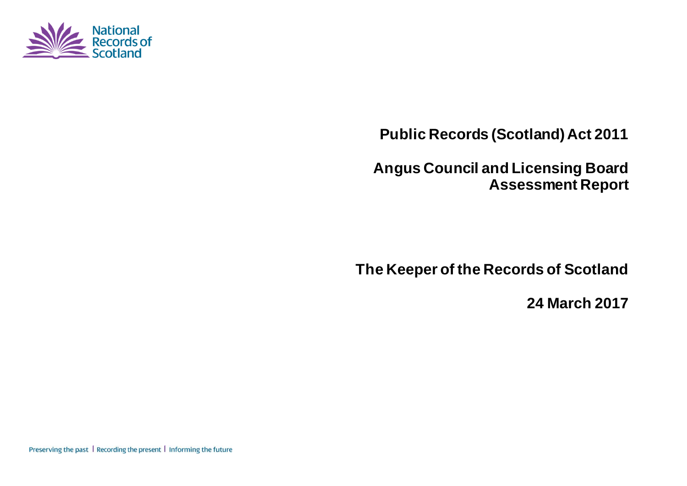

**Public Records (Scotland) Act 2011**

**Angus Council and Licensing Board Assessment Report**

**The Keeper of the Records of Scotland**

**24 March 2017**

Preserving the past | Recording the present | Informing the future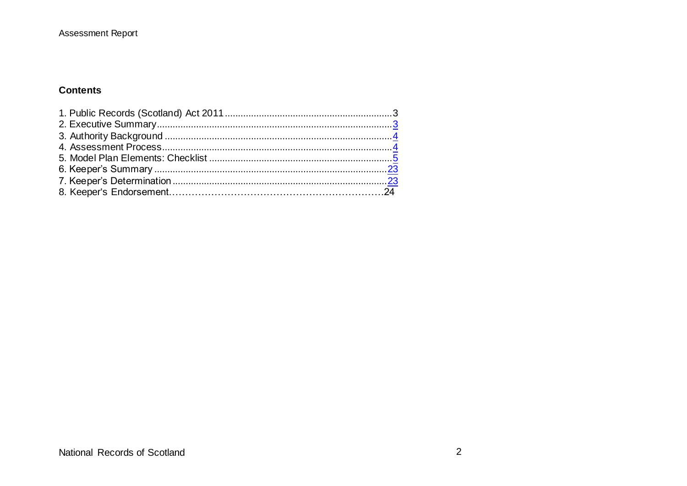#### **Contents**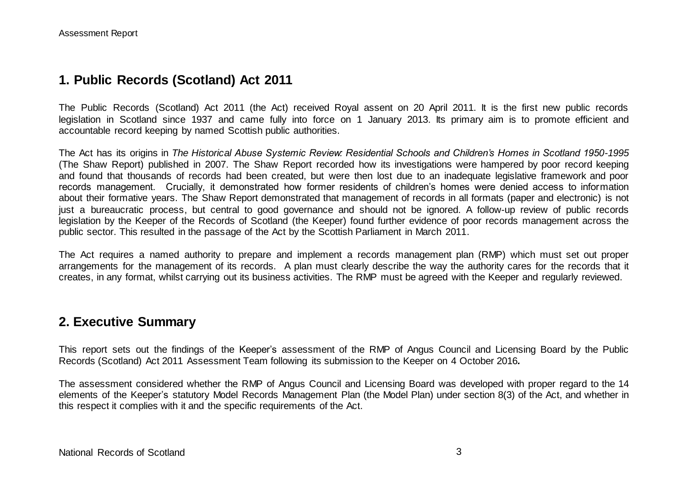### **1. Public Records (Scotland) Act 2011**

The Public Records (Scotland) Act 2011 (the Act) received Royal assent on 20 April 2011. It is the first new public records legislation in Scotland since 1937 and came fully into force on 1 January 2013. Its primary aim is to promote efficient and accountable record keeping by named Scottish public authorities.

The Act has its origins in *The Historical Abuse Systemic Review: Residential Schools and Children's Homes in Scotland 1950-1995* (The Shaw Report) published in 2007. The Shaw Report recorded how its investigations were hampered by poor record keeping and found that thousands of records had been created, but were then lost due to an inadequate legislative framework and poor records management. Crucially, it demonstrated how former residents of children's homes were denied access to information about their formative years. The Shaw Report demonstrated that management of records in all formats (paper and electronic) is not just a bureaucratic process, but central to good governance and should not be ignored. A follow-up review of public records legislation by the Keeper of the Records of Scotland (the Keeper) found further evidence of poor records management across the public sector. This resulted in the passage of the Act by the Scottish Parliament in March 2011.

The Act requires a named authority to prepare and implement a records management plan (RMP) which must set out proper arrangements for the management of its records. A plan must clearly describe the way the authority cares for the records that it creates, in any format, whilst carrying out its business activities. The RMP must be agreed with the Keeper and regularly reviewed.

#### **2. Executive Summary**

This report sets out the findings of the Keeper's assessment of the RMP of Angus Council and Licensing Board by the Public Records (Scotland) Act 2011 Assessment Team following its submission to the Keeper on 4 October 2016*.*

The assessment considered whether the RMP of Angus Council and Licensing Board was developed with proper regard to the 14 elements of the Keeper's statutory Model Records Management Plan (the Model Plan) under section 8(3) of the Act, and whether in this respect it complies with it and the specific requirements of the Act.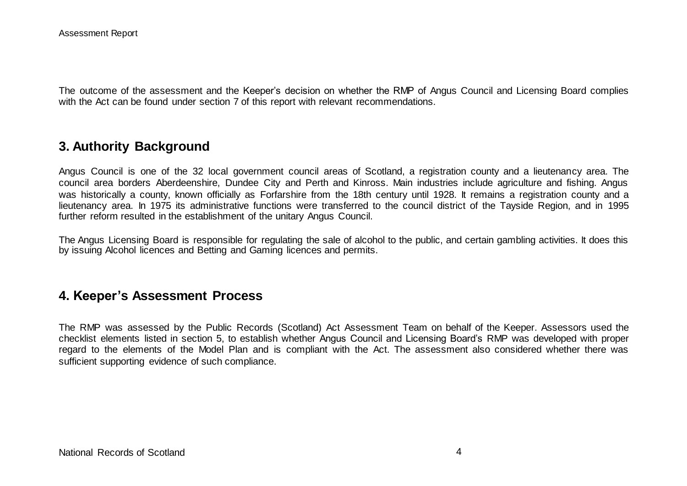The outcome of the assessment and the Keeper's decision on whether the RMP of Angus Council and Licensing Board complies with the Act can be found under section 7 of this report with relevant recommendations.

#### **3. Authority Background**

Angus Council is one of the 32 local government council areas of Scotland, a registration county and a lieutenancy area. The council area borders Aberdeenshire, Dundee City and Perth and Kinross. Main industries include agriculture and fishing. Angus was historically a county, known officially as Forfarshire from the 18th century until 1928. It remains a registration county and a lieutenancy area. In 1975 its administrative functions were transferred to the council district of the Tayside Region, and in 1995 further reform resulted in the establishment of the unitary Angus Council.

The Angus Licensing Board is responsible for regulating the sale of alcohol to the public, and certain gambling activities. It does this by issuing Alcohol licences and Betting and Gaming licences and permits.

#### **4. Keeper's Assessment Process**

The RMP was assessed by the Public Records (Scotland) Act Assessment Team on behalf of the Keeper. Assessors used the checklist elements listed in section 5, to establish whether Angus Council and Licensing Board's RMP was developed with proper regard to the elements of the Model Plan and is compliant with the Act. The assessment also considered whether there was sufficient supporting evidence of such compliance.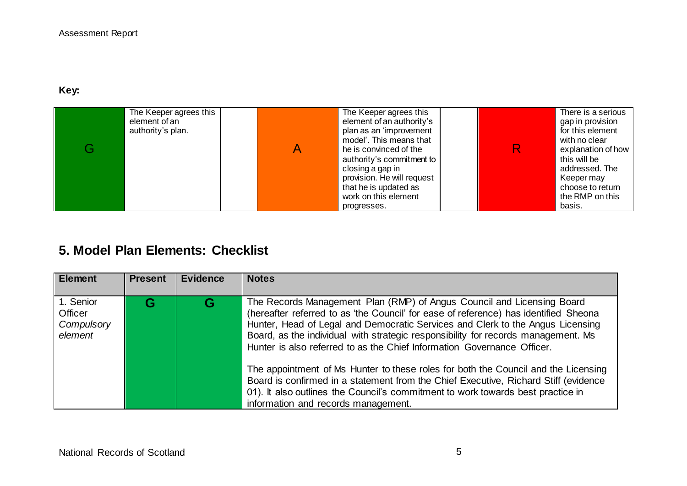#### **Key:**

| The Keeper agrees this<br>element of an<br>authority's plan. | The Keeper agrees this<br>element of an authority's<br>plan as an 'improvement<br>model'. This means that<br>he is convinced of the<br>authority's commitment to<br>closing a gap in<br>provision. He will request<br>that he is updated as<br>work on this element | R | There is a serious<br>gap in provision<br>for this element<br>with no clear<br>explanation of how<br>this will be<br>addressed. The<br>Keeper may<br>choose to return<br>the RMP on this |
|--------------------------------------------------------------|---------------------------------------------------------------------------------------------------------------------------------------------------------------------------------------------------------------------------------------------------------------------|---|------------------------------------------------------------------------------------------------------------------------------------------------------------------------------------------|
|                                                              | progresses.                                                                                                                                                                                                                                                         |   | basis.                                                                                                                                                                                   |

# **5. Model Plan Elements: Checklist**

| <b>Element</b>                                | <b>Present</b> | <b>Evidence</b> | <b>Notes</b>                                                                                                                                                                                                                                                                                                                                                                                                                                                                                                                                                                                                                                                                                                            |
|-----------------------------------------------|----------------|-----------------|-------------------------------------------------------------------------------------------------------------------------------------------------------------------------------------------------------------------------------------------------------------------------------------------------------------------------------------------------------------------------------------------------------------------------------------------------------------------------------------------------------------------------------------------------------------------------------------------------------------------------------------------------------------------------------------------------------------------------|
| 1. Senior<br>Officer<br>Compulsory<br>element |                | G               | The Records Management Plan (RMP) of Angus Council and Licensing Board<br>(hereafter referred to as 'the Council' for ease of reference) has identified Sheona<br>Hunter, Head of Legal and Democratic Services and Clerk to the Angus Licensing<br>Board, as the individual with strategic responsibility for records management. Ms<br>Hunter is also referred to as the Chief Information Governance Officer.<br>The appointment of Ms Hunter to these roles for both the Council and the Licensing<br>Board is confirmed in a statement from the Chief Executive, Richard Stiff (evidence<br>01). It also outlines the Council's commitment to work towards best practice in<br>information and records management. |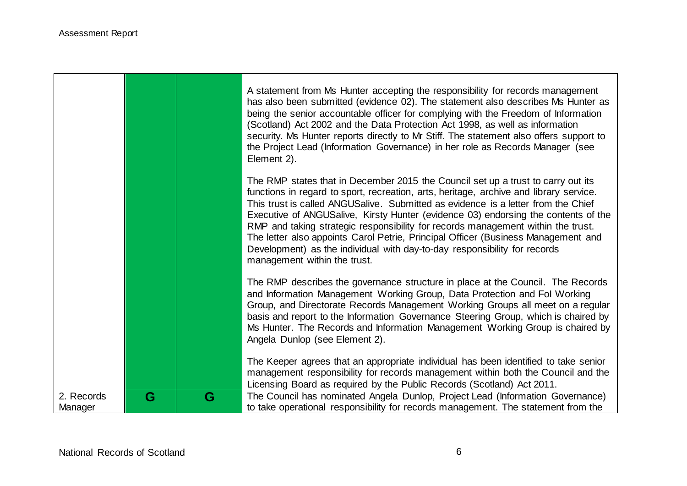|                       |   |   | A statement from Ms Hunter accepting the responsibility for records management<br>has also been submitted (evidence 02). The statement also describes Ms Hunter as<br>being the senior accountable officer for complying with the Freedom of Information<br>(Scotland) Act 2002 and the Data Protection Act 1998, as well as information<br>security. Ms Hunter reports directly to Mr Stiff. The statement also offers support to<br>the Project Lead (Information Governance) in her role as Records Manager (see<br>Element 2).                                                                                                          |
|-----------------------|---|---|---------------------------------------------------------------------------------------------------------------------------------------------------------------------------------------------------------------------------------------------------------------------------------------------------------------------------------------------------------------------------------------------------------------------------------------------------------------------------------------------------------------------------------------------------------------------------------------------------------------------------------------------|
|                       |   |   | The RMP states that in December 2015 the Council set up a trust to carry out its<br>functions in regard to sport, recreation, arts, heritage, archive and library service.<br>This trust is called ANGUSalive. Submitted as evidence is a letter from the Chief<br>Executive of ANGUSalive, Kirsty Hunter (evidence 03) endorsing the contents of the<br>RMP and taking strategic responsibility for records management within the trust.<br>The letter also appoints Carol Petrie, Principal Officer (Business Management and<br>Development) as the individual with day-to-day responsibility for records<br>management within the trust. |
|                       |   |   | The RMP describes the governance structure in place at the Council. The Records<br>and Information Management Working Group, Data Protection and Fol Working<br>Group, and Directorate Records Management Working Groups all meet on a regular<br>basis and report to the Information Governance Steering Group, which is chaired by<br>Ms Hunter. The Records and Information Management Working Group is chaired by<br>Angela Dunlop (see Element 2).                                                                                                                                                                                     |
|                       |   |   | The Keeper agrees that an appropriate individual has been identified to take senior<br>management responsibility for records management within both the Council and the<br>Licensing Board as required by the Public Records (Scotland) Act 2011.                                                                                                                                                                                                                                                                                                                                                                                           |
| 2. Records<br>Manager | G | G | The Council has nominated Angela Dunlop, Project Lead (Information Governance)<br>to take operational responsibility for records management. The statement from the                                                                                                                                                                                                                                                                                                                                                                                                                                                                         |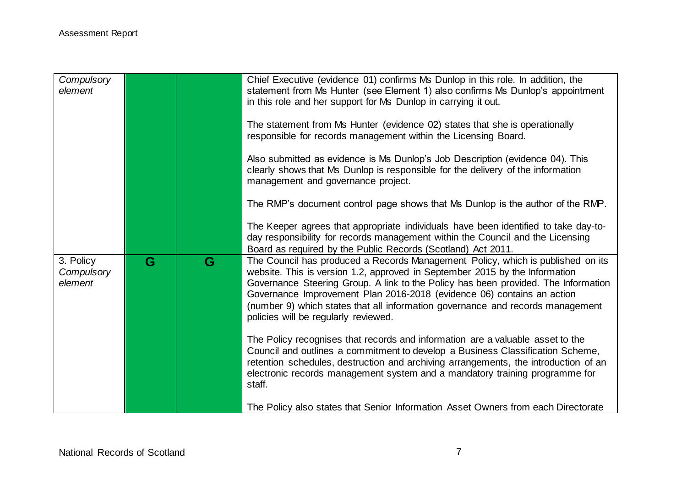| Compulsory<br>element              |   |   | Chief Executive (evidence 01) confirms Ms Dunlop in this role. In addition, the<br>statement from Ms Hunter (see Element 1) also confirms Ms Dunlop's appointment<br>in this role and her support for Ms Dunlop in carrying it out.<br>The statement from Ms Hunter (evidence 02) states that she is operationally<br>responsible for records management within the Licensing Board.<br>Also submitted as evidence is Ms Dunlop's Job Description (evidence 04). This<br>clearly shows that Ms Dunlop is responsible for the delivery of the information<br>management and governance project.<br>The RMP's document control page shows that Ms Dunlop is the author of the RMP. |
|------------------------------------|---|---|----------------------------------------------------------------------------------------------------------------------------------------------------------------------------------------------------------------------------------------------------------------------------------------------------------------------------------------------------------------------------------------------------------------------------------------------------------------------------------------------------------------------------------------------------------------------------------------------------------------------------------------------------------------------------------|
|                                    |   |   | The Keeper agrees that appropriate individuals have been identified to take day-to-<br>day responsibility for records management within the Council and the Licensing<br>Board as required by the Public Records (Scotland) Act 2011.                                                                                                                                                                                                                                                                                                                                                                                                                                            |
| 3. Policy<br>Compulsory<br>element | G | G | The Council has produced a Records Management Policy, which is published on its<br>website. This is version 1.2, approved in September 2015 by the Information<br>Governance Steering Group. A link to the Policy has been provided. The Information<br>Governance Improvement Plan 2016-2018 (evidence 06) contains an action<br>(number 9) which states that all information governance and records management<br>policies will be regularly reviewed.                                                                                                                                                                                                                         |
|                                    |   |   | The Policy recognises that records and information are a valuable asset to the<br>Council and outlines a commitment to develop a Business Classification Scheme,<br>retention schedules, destruction and archiving arrangements, the introduction of an<br>electronic records management system and a mandatory training programme for<br>staff.                                                                                                                                                                                                                                                                                                                                 |
|                                    |   |   | The Policy also states that Senior Information Asset Owners from each Directorate                                                                                                                                                                                                                                                                                                                                                                                                                                                                                                                                                                                                |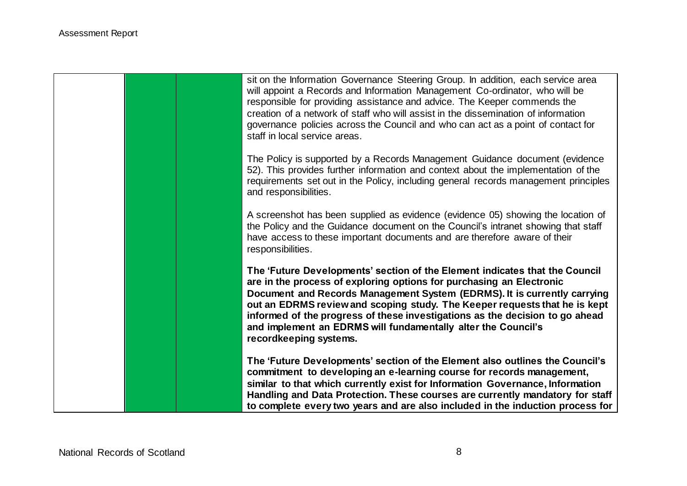|  |  | sit on the Information Governance Steering Group. In addition, each service area<br>will appoint a Records and Information Management Co-ordinator, who will be<br>responsible for providing assistance and advice. The Keeper commends the<br>creation of a network of staff who will assist in the dissemination of information<br>governance policies across the Council and who can act as a point of contact for<br>staff in local service areas.                                   |
|--|--|------------------------------------------------------------------------------------------------------------------------------------------------------------------------------------------------------------------------------------------------------------------------------------------------------------------------------------------------------------------------------------------------------------------------------------------------------------------------------------------|
|  |  | The Policy is supported by a Records Management Guidance document (evidence<br>52). This provides further information and context about the implementation of the<br>requirements set out in the Policy, including general records management principles<br>and responsibilities.                                                                                                                                                                                                        |
|  |  | A screenshot has been supplied as evidence (evidence 05) showing the location of<br>the Policy and the Guidance document on the Council's intranet showing that staff<br>have access to these important documents and are therefore aware of their<br>responsibilities.                                                                                                                                                                                                                  |
|  |  | The 'Future Developments' section of the Element indicates that the Council<br>are in the process of exploring options for purchasing an Electronic<br>Document and Records Management System (EDRMS). It is currently carrying<br>out an EDRMS review and scoping study. The Keeper requests that he is kept<br>informed of the progress of these investigations as the decision to go ahead<br>and implement an EDRMS will fundamentally alter the Council's<br>recordkeeping systems. |
|  |  | The 'Future Developments' section of the Element also outlines the Council's<br>commitment to developing an e-learning course for records management,<br>similar to that which currently exist for Information Governance, Information<br>Handling and Data Protection. These courses are currently mandatory for staff<br>to complete every two years and are also included in the induction process for                                                                                |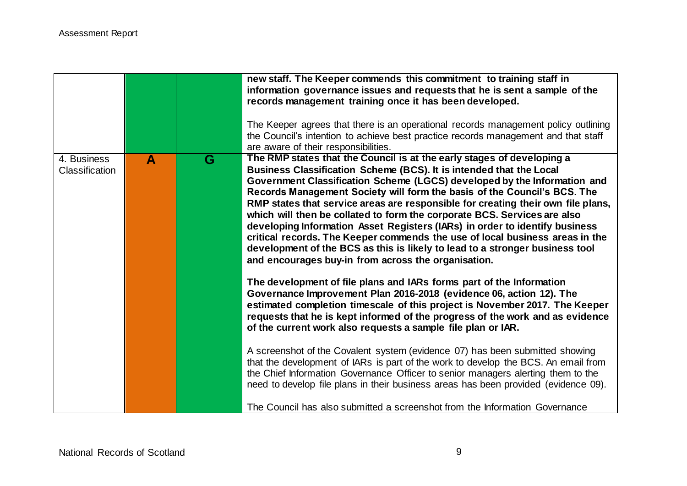|                                      |                  |   | new staff. The Keeper commends this commitment to training staff in<br>information governance issues and requests that he is sent a sample of the<br>records management training once it has been developed.<br>The Keeper agrees that there is an operational records management policy outlining<br>the Council's intention to achieve best practice records management and that staff                                                                                                                                                                                                                                                                                                                                                                                    |
|--------------------------------------|------------------|---|-----------------------------------------------------------------------------------------------------------------------------------------------------------------------------------------------------------------------------------------------------------------------------------------------------------------------------------------------------------------------------------------------------------------------------------------------------------------------------------------------------------------------------------------------------------------------------------------------------------------------------------------------------------------------------------------------------------------------------------------------------------------------------|
|                                      |                  |   | are aware of their responsibilities.                                                                                                                                                                                                                                                                                                                                                                                                                                                                                                                                                                                                                                                                                                                                        |
| 4. Business<br><b>Classification</b> | $\blacktriangle$ | G | The RMP states that the Council is at the early stages of developing a<br>Business Classification Scheme (BCS). It is intended that the Local<br>Government Classification Scheme (LGCS) developed by the Information and<br>Records Management Society will form the basis of the Council's BCS. The<br>RMP states that service areas are responsible for creating their own file plans,<br>which will then be collated to form the corporate BCS. Services are also<br>developing Information Asset Registers (IARs) in order to identify business<br>critical records. The Keeper commends the use of local business areas in the<br>development of the BCS as this is likely to lead to a stronger business tool<br>and encourages buy-in from across the organisation. |
|                                      |                  |   | The development of file plans and IARs forms part of the Information<br>Governance Improvement Plan 2016-2018 (evidence 06, action 12). The<br>estimated completion timescale of this project is November 2017. The Keeper<br>requests that he is kept informed of the progress of the work and as evidence<br>of the current work also requests a sample file plan or IAR.                                                                                                                                                                                                                                                                                                                                                                                                 |
|                                      |                  |   | A screenshot of the Covalent system (evidence 07) has been submitted showing<br>that the development of IARs is part of the work to develop the BCS. An email from<br>the Chief Information Governance Officer to senior managers alerting them to the<br>need to develop file plans in their business areas has been provided (evidence 09).<br>The Council has also submitted a screenshot from the Information Governance                                                                                                                                                                                                                                                                                                                                                |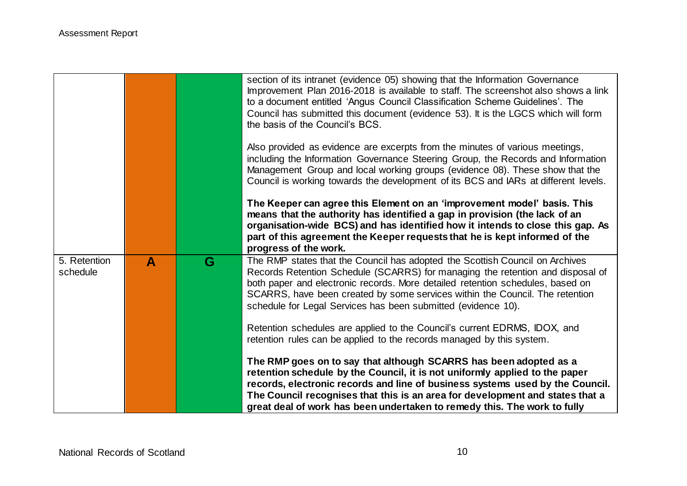|                          |   |   | section of its intranet (evidence 05) showing that the Information Governance<br>Improvement Plan 2016-2018 is available to staff. The screenshot also shows a link<br>to a document entitled 'Angus Council Classification Scheme Guidelines'. The<br>Council has submitted this document (evidence 53). It is the LGCS which will form<br>the basis of the Council's BCS.                       |
|--------------------------|---|---|---------------------------------------------------------------------------------------------------------------------------------------------------------------------------------------------------------------------------------------------------------------------------------------------------------------------------------------------------------------------------------------------------|
|                          |   |   | Also provided as evidence are excerpts from the minutes of various meetings,<br>including the Information Governance Steering Group, the Records and Information<br>Management Group and local working groups (evidence 08). These show that the<br>Council is working towards the development of its BCS and IARs at different levels.                                                           |
|                          |   |   | The Keeper can agree this Element on an 'improvement model' basis. This<br>means that the authority has identified a gap in provision (the lack of an<br>organisation-wide BCS) and has identified how it intends to close this gap. As<br>part of this agreement the Keeper requests that he is kept informed of the<br>progress of the work.                                                    |
| 5. Retention<br>schedule | A | G | The RMP states that the Council has adopted the Scottish Council on Archives<br>Records Retention Schedule (SCARRS) for managing the retention and disposal of<br>both paper and electronic records. More detailed retention schedules, based on<br>SCARRS, have been created by some services within the Council. The retention<br>schedule for Legal Services has been submitted (evidence 10). |
|                          |   |   | Retention schedules are applied to the Council's current EDRMS, IDOX, and<br>retention rules can be applied to the records managed by this system.                                                                                                                                                                                                                                                |
|                          |   |   | The RMP goes on to say that although SCARRS has been adopted as a<br>retention schedule by the Council, it is not uniformly applied to the paper<br>records, electronic records and line of business systems used by the Council.<br>The Council recognises that this is an area for development and states that a<br>great deal of work has been undertaken to remedy this. The work to fully    |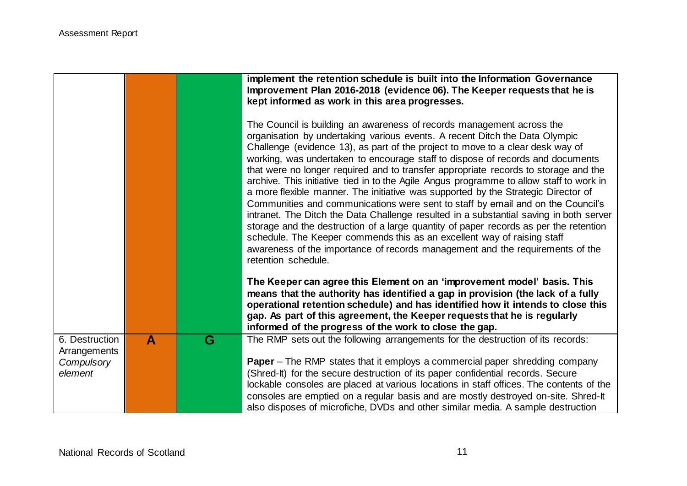|                                                         |   |   | implement the retention schedule is built into the Information Governance<br>Improvement Plan 2016-2018 (evidence 06). The Keeper requests that he is                                                                                                                                                                                                                                                                                                                                                                                                                                                                                                                                                                                                                                                                                                                                                                                                                                                                                                                                                      |
|---------------------------------------------------------|---|---|------------------------------------------------------------------------------------------------------------------------------------------------------------------------------------------------------------------------------------------------------------------------------------------------------------------------------------------------------------------------------------------------------------------------------------------------------------------------------------------------------------------------------------------------------------------------------------------------------------------------------------------------------------------------------------------------------------------------------------------------------------------------------------------------------------------------------------------------------------------------------------------------------------------------------------------------------------------------------------------------------------------------------------------------------------------------------------------------------------|
|                                                         |   |   | kept informed as work in this area progresses.<br>The Council is building an awareness of records management across the<br>organisation by undertaking various events. A recent Ditch the Data Olympic<br>Challenge (evidence 13), as part of the project to move to a clear desk way of<br>working, was undertaken to encourage staff to dispose of records and documents<br>that were no longer required and to transfer appropriate records to storage and the<br>archive. This initiative tied in to the Agile Angus programme to allow staff to work in<br>a more flexible manner. The initiative was supported by the Strategic Director of<br>Communities and communications were sent to staff by email and on the Council's<br>intranet. The Ditch the Data Challenge resulted in a substantial saving in both server<br>storage and the destruction of a large quantity of paper records as per the retention<br>schedule. The Keeper commends this as an excellent way of raising staff<br>awareness of the importance of records management and the requirements of the<br>retention schedule. |
|                                                         |   |   | The Keeper can agree this Element on an 'improvement model' basis. This<br>means that the authority has identified a gap in provision (the lack of a fully<br>operational retention schedule) and has identified how it intends to close this<br>gap. As part of this agreement, the Keeper requests that he is regularly<br>informed of the progress of the work to close the gap.                                                                                                                                                                                                                                                                                                                                                                                                                                                                                                                                                                                                                                                                                                                        |
| 6. Destruction<br>Arrangements<br>Compulsory<br>element | A | G | The RMP sets out the following arrangements for the destruction of its records:<br><b>Paper</b> – The RMP states that it employs a commercial paper shredding company<br>(Shred-It) for the secure destruction of its paper confidential records. Secure<br>lockable consoles are placed at various locations in staff offices. The contents of the<br>consoles are emptied on a regular basis and are mostly destroyed on-site. Shred-It<br>also disposes of microfiche, DVDs and other similar media. A sample destruction                                                                                                                                                                                                                                                                                                                                                                                                                                                                                                                                                                               |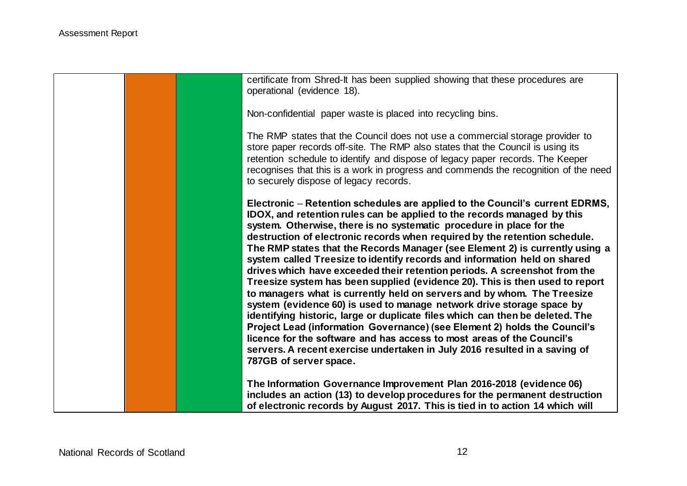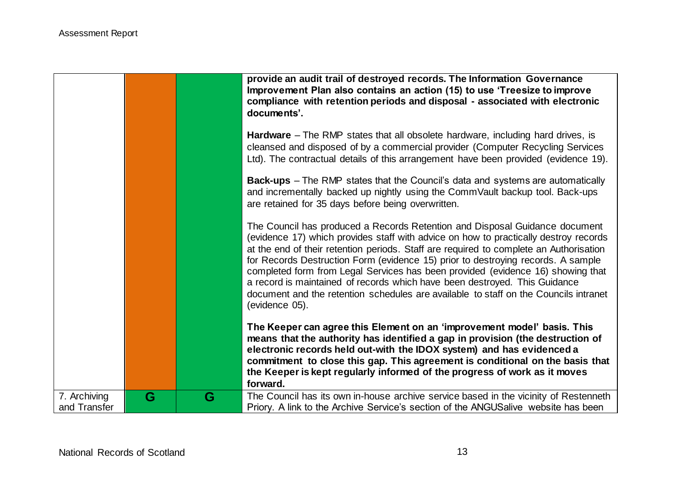|                              |   |   | provide an audit trail of destroyed records. The Information Governance<br>Improvement Plan also contains an action (15) to use 'Treesize to improve<br>compliance with retention periods and disposal - associated with electronic<br>documents'.                                                                                                                                                                                                                                                                                                                                                                           |
|------------------------------|---|---|------------------------------------------------------------------------------------------------------------------------------------------------------------------------------------------------------------------------------------------------------------------------------------------------------------------------------------------------------------------------------------------------------------------------------------------------------------------------------------------------------------------------------------------------------------------------------------------------------------------------------|
|                              |   |   | <b>Hardware</b> – The RMP states that all obsolete hardware, including hard drives, is<br>cleansed and disposed of by a commercial provider (Computer Recycling Services<br>Ltd). The contractual details of this arrangement have been provided (evidence 19).                                                                                                                                                                                                                                                                                                                                                              |
|                              |   |   | <b>Back-ups</b> – The RMP states that the Council's data and systems are automatically<br>and incrementally backed up nightly using the CommVault backup tool. Back-ups<br>are retained for 35 days before being overwritten.                                                                                                                                                                                                                                                                                                                                                                                                |
|                              |   |   | The Council has produced a Records Retention and Disposal Guidance document<br>(evidence 17) which provides staff with advice on how to practically destroy records<br>at the end of their retention periods. Staff are required to complete an Authorisation<br>for Records Destruction Form (evidence 15) prior to destroying records. A sample<br>completed form from Legal Services has been provided (evidence 16) showing that<br>a record is maintained of records which have been destroyed. This Guidance<br>document and the retention schedules are available to staff on the Councils intranet<br>(evidence 05). |
|                              |   |   | The Keeper can agree this Element on an 'improvement model' basis. This<br>means that the authority has identified a gap in provision (the destruction of<br>electronic records held out-with the IDOX system) and has evidenced a<br>commitment to close this gap. This agreement is conditional on the basis that<br>the Keeper is kept regularly informed of the progress of work as it moves<br>forward.                                                                                                                                                                                                                 |
| 7. Archiving<br>and Transfer | G | G | The Council has its own in-house archive service based in the vicinity of Restenneth<br>Priory. A link to the Archive Service's section of the ANGUSalive website has been                                                                                                                                                                                                                                                                                                                                                                                                                                                   |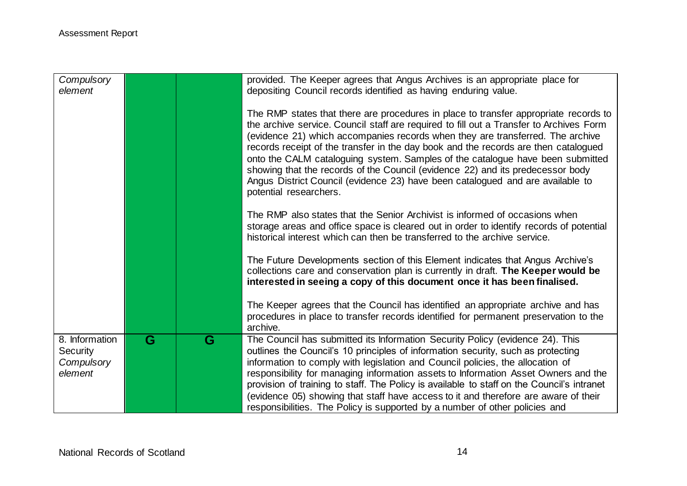| Compulsory<br>element                                      |                         |   | provided. The Keeper agrees that Angus Archives is an appropriate place for<br>depositing Council records identified as having enduring value.                                                                                                                                                                                                                                                                                                                                                                                                                                                                                           |
|------------------------------------------------------------|-------------------------|---|------------------------------------------------------------------------------------------------------------------------------------------------------------------------------------------------------------------------------------------------------------------------------------------------------------------------------------------------------------------------------------------------------------------------------------------------------------------------------------------------------------------------------------------------------------------------------------------------------------------------------------------|
|                                                            |                         |   | The RMP states that there are procedures in place to transfer appropriate records to<br>the archive service. Council staff are required to fill out a Transfer to Archives Form<br>(evidence 21) which accompanies records when they are transferred. The archive<br>records receipt of the transfer in the day book and the records are then catalogued<br>onto the CALM cataloguing system. Samples of the catalogue have been submitted<br>showing that the records of the Council (evidence 22) and its predecessor body<br>Angus District Council (evidence 23) have been catalogued and are available to<br>potential researchers. |
|                                                            |                         |   | The RMP also states that the Senior Archivist is informed of occasions when<br>storage areas and office space is cleared out in order to identify records of potential<br>historical interest which can then be transferred to the archive service.                                                                                                                                                                                                                                                                                                                                                                                      |
|                                                            |                         |   | The Future Developments section of this Element indicates that Angus Archive's<br>collections care and conservation plan is currently in draft. The Keeper would be<br>interested in seeing a copy of this document once it has been finalised.                                                                                                                                                                                                                                                                                                                                                                                          |
|                                                            |                         |   | The Keeper agrees that the Council has identified an appropriate archive and has<br>procedures in place to transfer records identified for permanent preservation to the<br>archive.                                                                                                                                                                                                                                                                                                                                                                                                                                                     |
| 8. Information<br><b>Security</b><br>Compulsory<br>element | $\overline{\mathbf{G}}$ | G | The Council has submitted its Information Security Policy (evidence 24). This<br>outlines the Council's 10 principles of information security, such as protecting<br>information to comply with legislation and Council policies, the allocation of<br>responsibility for managing information assets to Information Asset Owners and the<br>provision of training to staff. The Policy is available to staff on the Council's intranet<br>(evidence 05) showing that staff have access to it and therefore are aware of their<br>responsibilities. The Policy is supported by a number of other policies and                            |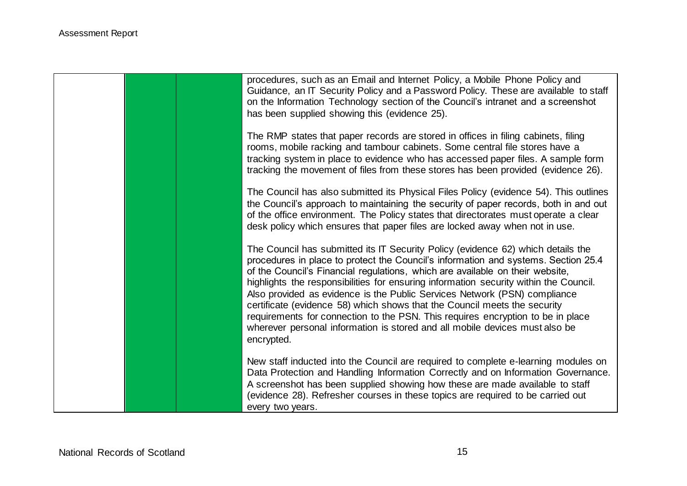|  | procedures, such as an Email and Internet Policy, a Mobile Phone Policy and<br>Guidance, an IT Security Policy and a Password Policy. These are available to staff<br>on the Information Technology section of the Council's intranet and a screenshot<br>has been supplied showing this (evidence 25).                                                                                                                                                                                                                                                                                                                                                                                    |
|--|--------------------------------------------------------------------------------------------------------------------------------------------------------------------------------------------------------------------------------------------------------------------------------------------------------------------------------------------------------------------------------------------------------------------------------------------------------------------------------------------------------------------------------------------------------------------------------------------------------------------------------------------------------------------------------------------|
|  | The RMP states that paper records are stored in offices in filing cabinets, filing<br>rooms, mobile racking and tambour cabinets. Some central file stores have a<br>tracking system in place to evidence who has accessed paper files. A sample form<br>tracking the movement of files from these stores has been provided (evidence 26).                                                                                                                                                                                                                                                                                                                                                 |
|  | The Council has also submitted its Physical Files Policy (evidence 54). This outlines<br>the Council's approach to maintaining the security of paper records, both in and out<br>of the office environment. The Policy states that directorates must operate a clear<br>desk policy which ensures that paper files are locked away when not in use.                                                                                                                                                                                                                                                                                                                                        |
|  | The Council has submitted its IT Security Policy (evidence 62) which details the<br>procedures in place to protect the Council's information and systems. Section 25.4<br>of the Council's Financial regulations, which are available on their website,<br>highlights the responsibilities for ensuring information security within the Council.<br>Also provided as evidence is the Public Services Network (PSN) compliance<br>certificate (evidence 58) which shows that the Council meets the security<br>requirements for connection to the PSN. This requires encryption to be in place<br>wherever personal information is stored and all mobile devices must also be<br>encrypted. |
|  | New staff inducted into the Council are required to complete e-learning modules on<br>Data Protection and Handling Information Correctly and on Information Governance.<br>A screenshot has been supplied showing how these are made available to staff<br>(evidence 28). Refresher courses in these topics are required to be carried out<br>every two years.                                                                                                                                                                                                                                                                                                                             |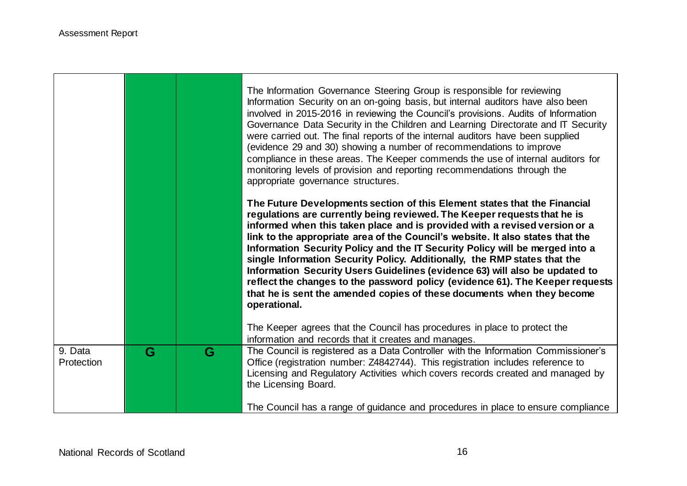|                       |   |   | The Information Governance Steering Group is responsible for reviewing<br>Information Security on an on-going basis, but internal auditors have also been<br>involved in 2015-2016 in reviewing the Council's provisions. Audits of Information<br>Governance Data Security in the Children and Learning Directorate and IT Security<br>were carried out. The final reports of the internal auditors have been supplied<br>(evidence 29 and 30) showing a number of recommendations to improve<br>compliance in these areas. The Keeper commends the use of internal auditors for<br>monitoring levels of provision and reporting recommendations through the<br>appropriate governance structures.                                                                                                                       |
|-----------------------|---|---|---------------------------------------------------------------------------------------------------------------------------------------------------------------------------------------------------------------------------------------------------------------------------------------------------------------------------------------------------------------------------------------------------------------------------------------------------------------------------------------------------------------------------------------------------------------------------------------------------------------------------------------------------------------------------------------------------------------------------------------------------------------------------------------------------------------------------|
|                       |   |   | The Future Developments section of this Element states that the Financial<br>regulations are currently being reviewed. The Keeper requests that he is<br>informed when this taken place and is provided with a revised version or a<br>link to the appropriate area of the Council's website. It also states that the<br>Information Security Policy and the IT Security Policy will be merged into a<br>single Information Security Policy. Additionally, the RMP states that the<br>Information Security Users Guidelines (evidence 63) will also be updated to<br>reflect the changes to the password policy (evidence 61). The Keeper requests<br>that he is sent the amended copies of these documents when they become<br>operational.<br>The Keeper agrees that the Council has procedures in place to protect the |
| 9. Data<br>Protection | G | G | information and records that it creates and manages.<br>The Council is registered as a Data Controller with the Information Commissioner's<br>Office (registration number: Z4842744). This registration includes reference to<br>Licensing and Regulatory Activities which covers records created and managed by<br>the Licensing Board.<br>The Council has a range of guidance and procedures in place to ensure compliance                                                                                                                                                                                                                                                                                                                                                                                              |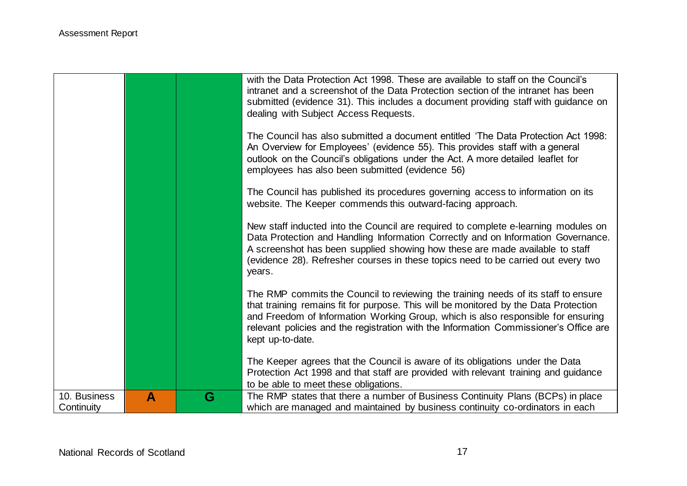|                            |   |   | with the Data Protection Act 1998. These are available to staff on the Council's<br>intranet and a screenshot of the Data Protection section of the intranet has been<br>submitted (evidence 31). This includes a document providing staff with guidance on<br>dealing with Subject Access Requests.<br>The Council has also submitted a document entitled 'The Data Protection Act 1998: |
|----------------------------|---|---|-------------------------------------------------------------------------------------------------------------------------------------------------------------------------------------------------------------------------------------------------------------------------------------------------------------------------------------------------------------------------------------------|
|                            |   |   | An Overview for Employees' (evidence 55). This provides staff with a general<br>outlook on the Council's obligations under the Act. A more detailed leaflet for<br>employees has also been submitted (evidence 56)                                                                                                                                                                        |
|                            |   |   | The Council has published its procedures governing access to information on its<br>website. The Keeper commends this outward-facing approach.                                                                                                                                                                                                                                             |
|                            |   |   | New staff inducted into the Council are required to complete e-learning modules on<br>Data Protection and Handling Information Correctly and on Information Governance.<br>A screenshot has been supplied showing how these are made available to staff<br>(evidence 28). Refresher courses in these topics need to be carried out every two<br>years.                                    |
|                            |   |   | The RMP commits the Council to reviewing the training needs of its staff to ensure<br>that training remains fit for purpose. This will be monitored by the Data Protection<br>and Freedom of Information Working Group, which is also responsible for ensuring<br>relevant policies and the registration with the Information Commissioner's Office are<br>kept up-to-date.               |
|                            |   |   | The Keeper agrees that the Council is aware of its obligations under the Data<br>Protection Act 1998 and that staff are provided with relevant training and guidance<br>to be able to meet these obligations.                                                                                                                                                                             |
| 10. Business<br>Continuity | A | G | The RMP states that there a number of Business Continuity Plans (BCPs) in place<br>which are managed and maintained by business continuity co-ordinators in each                                                                                                                                                                                                                          |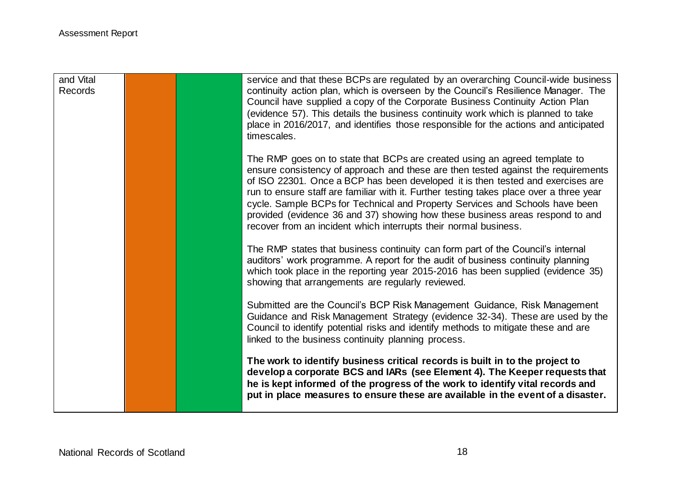| and Vital<br>Records |  | service and that these BCPs are regulated by an overarching Council-wide business<br>continuity action plan, which is overseen by the Council's Resilience Manager. The<br>Council have supplied a copy of the Corporate Business Continuity Action Plan<br>(evidence 57). This details the business continuity work which is planned to take<br>place in 2016/2017, and identifies those responsible for the actions and anticipated<br>timescales.                                                                                                                               |
|----------------------|--|------------------------------------------------------------------------------------------------------------------------------------------------------------------------------------------------------------------------------------------------------------------------------------------------------------------------------------------------------------------------------------------------------------------------------------------------------------------------------------------------------------------------------------------------------------------------------------|
|                      |  | The RMP goes on to state that BCPs are created using an agreed template to<br>ensure consistency of approach and these are then tested against the requirements<br>of ISO 22301. Once a BCP has been developed it is then tested and exercises are<br>run to ensure staff are familiar with it. Further testing takes place over a three year<br>cycle. Sample BCPs for Technical and Property Services and Schools have been<br>provided (evidence 36 and 37) showing how these business areas respond to and<br>recover from an incident which interrupts their normal business. |
|                      |  | The RMP states that business continuity can form part of the Council's internal<br>auditors' work programme. A report for the audit of business continuity planning<br>which took place in the reporting year 2015-2016 has been supplied (evidence 35)<br>showing that arrangements are regularly reviewed.                                                                                                                                                                                                                                                                       |
|                      |  | Submitted are the Council's BCP Risk Management Guidance, Risk Management<br>Guidance and Risk Management Strategy (evidence 32-34). These are used by the<br>Council to identify potential risks and identify methods to mitigate these and are<br>linked to the business continuity planning process.                                                                                                                                                                                                                                                                            |
|                      |  | The work to identify business critical records is built in to the project to<br>develop a corporate BCS and IARs (see Element 4). The Keeper requests that<br>he is kept informed of the progress of the work to identify vital records and<br>put in place measures to ensure these are available in the event of a disaster.                                                                                                                                                                                                                                                     |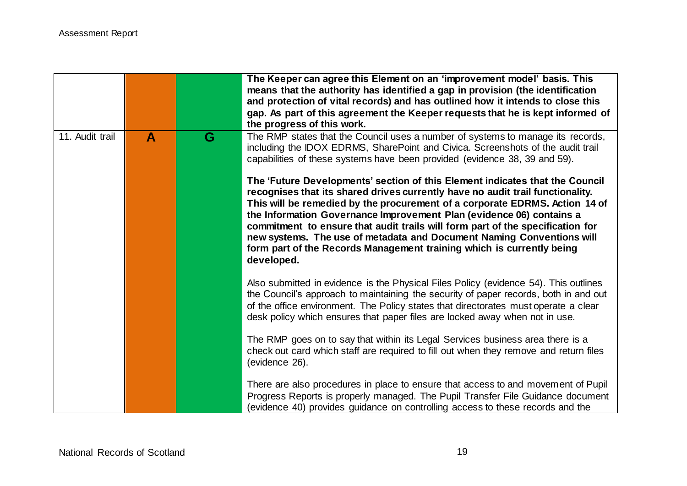|                 |   |   | The Keeper can agree this Element on an 'improvement model' basis. This<br>means that the authority has identified a gap in provision (the identification<br>and protection of vital records) and has outlined how it intends to close this<br>gap. As part of this agreement the Keeper requests that he is kept informed of<br>the progress of this work.                                                                                                                                                                                                                                                                                                                                                                          |
|-----------------|---|---|--------------------------------------------------------------------------------------------------------------------------------------------------------------------------------------------------------------------------------------------------------------------------------------------------------------------------------------------------------------------------------------------------------------------------------------------------------------------------------------------------------------------------------------------------------------------------------------------------------------------------------------------------------------------------------------------------------------------------------------|
| 11. Audit trail | A | G | The RMP states that the Council uses a number of systems to manage its records,<br>including the IDOX EDRMS, SharePoint and Civica. Screenshots of the audit trail<br>capabilities of these systems have been provided (evidence 38, 39 and 59).<br>The 'Future Developments' section of this Element indicates that the Council<br>recognises that its shared drives currently have no audit trail functionality.<br>This will be remedied by the procurement of a corporate EDRMS. Action 14 of<br>the Information Governance Improvement Plan (evidence 06) contains a<br>commitment to ensure that audit trails will form part of the specification for<br>new systems. The use of metadata and Document Naming Conventions will |
|                 |   |   | form part of the Records Management training which is currently being<br>developed.                                                                                                                                                                                                                                                                                                                                                                                                                                                                                                                                                                                                                                                  |
|                 |   |   | Also submitted in evidence is the Physical Files Policy (evidence 54). This outlines<br>the Council's approach to maintaining the security of paper records, both in and out<br>of the office environment. The Policy states that directorates must operate a clear<br>desk policy which ensures that paper files are locked away when not in use.                                                                                                                                                                                                                                                                                                                                                                                   |
|                 |   |   | The RMP goes on to say that within its Legal Services business area there is a<br>check out card which staff are required to fill out when they remove and return files<br>(evidence 26).                                                                                                                                                                                                                                                                                                                                                                                                                                                                                                                                            |
|                 |   |   | There are also procedures in place to ensure that access to and movement of Pupil<br>Progress Reports is properly managed. The Pupil Transfer File Guidance document<br>(evidence 40) provides guidance on controlling access to these records and the                                                                                                                                                                                                                                                                                                                                                                                                                                                                               |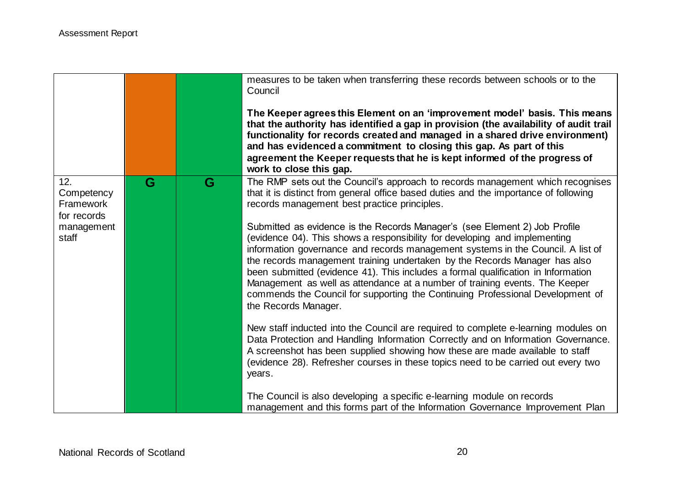|                                                                      |   |   | measures to be taken when transferring these records between schools or to the<br>Council<br>The Keeper agrees this Element on an 'improvement model' basis. This means<br>that the authority has identified a gap in provision (the availability of audit trail<br>functionality for records created and managed in a shared drive environment)<br>and has evidenced a commitment to closing this gap. As part of this<br>agreement the Keeper requests that he is kept informed of the progress of<br>work to close this gap.                                                                                                                                                                                                                                                                                                                                                                                                                                                                                                                                                                                                                                                                                                                                                                                                                        |
|----------------------------------------------------------------------|---|---|--------------------------------------------------------------------------------------------------------------------------------------------------------------------------------------------------------------------------------------------------------------------------------------------------------------------------------------------------------------------------------------------------------------------------------------------------------------------------------------------------------------------------------------------------------------------------------------------------------------------------------------------------------------------------------------------------------------------------------------------------------------------------------------------------------------------------------------------------------------------------------------------------------------------------------------------------------------------------------------------------------------------------------------------------------------------------------------------------------------------------------------------------------------------------------------------------------------------------------------------------------------------------------------------------------------------------------------------------------|
| 12.<br>Competency<br>Framework<br>for records<br>management<br>staff | G | G | The RMP sets out the Council's approach to records management which recognises<br>that it is distinct from general office based duties and the importance of following<br>records management best practice principles.<br>Submitted as evidence is the Records Manager's (see Element 2) Job Profile<br>(evidence 04). This shows a responsibility for developing and implementing<br>information governance and records management systems in the Council. A list of<br>the records management training undertaken by the Records Manager has also<br>been submitted (evidence 41). This includes a formal qualification in Information<br>Management as well as attendance at a number of training events. The Keeper<br>commends the Council for supporting the Continuing Professional Development of<br>the Records Manager.<br>New staff inducted into the Council are required to complete e-learning modules on<br>Data Protection and Handling Information Correctly and on Information Governance.<br>A screenshot has been supplied showing how these are made available to staff<br>(evidence 28). Refresher courses in these topics need to be carried out every two<br>years.<br>The Council is also developing a specific e-learning module on records<br>management and this forms part of the Information Governance Improvement Plan |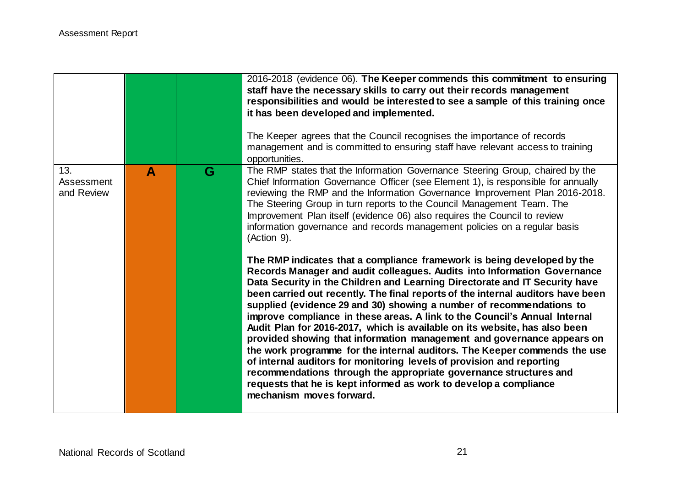|                                 |              |   | 2016-2018 (evidence 06). The Keeper commends this commitment to ensuring<br>staff have the necessary skills to carry out their records management<br>responsibilities and would be interested to see a sample of this training once<br>it has been developed and implemented.<br>The Keeper agrees that the Council recognises the importance of records<br>management and is committed to ensuring staff have relevant access to training<br>opportunities.                                                                                                                                                                                                                                                                                                                                                                                                                                                                                                    |
|---------------------------------|--------------|---|-----------------------------------------------------------------------------------------------------------------------------------------------------------------------------------------------------------------------------------------------------------------------------------------------------------------------------------------------------------------------------------------------------------------------------------------------------------------------------------------------------------------------------------------------------------------------------------------------------------------------------------------------------------------------------------------------------------------------------------------------------------------------------------------------------------------------------------------------------------------------------------------------------------------------------------------------------------------|
| 13.<br>Assessment<br>and Review | $\mathbf{A}$ | G | The RMP states that the Information Governance Steering Group, chaired by the<br>Chief Information Governance Officer (see Element 1), is responsible for annually<br>reviewing the RMP and the Information Governance Improvement Plan 2016-2018.<br>The Steering Group in turn reports to the Council Management Team. The<br>Improvement Plan itself (evidence 06) also requires the Council to review<br>information governance and records management policies on a regular basis<br>(Action 9).                                                                                                                                                                                                                                                                                                                                                                                                                                                           |
|                                 |              |   | The RMP indicates that a compliance framework is being developed by the<br>Records Manager and audit colleagues. Audits into Information Governance<br>Data Security in the Children and Learning Directorate and IT Security have<br>been carried out recently. The final reports of the internal auditors have been<br>supplied (evidence 29 and 30) showing a number of recommendations to<br>improve compliance in these areas. A link to the Council's Annual Internal<br>Audit Plan for 2016-2017, which is available on its website, has also been<br>provided showing that information management and governance appears on<br>the work programme for the internal auditors. The Keeper commends the use<br>of internal auditors for monitoring levels of provision and reporting<br>recommendations through the appropriate governance structures and<br>requests that he is kept informed as work to develop a compliance<br>mechanism moves forward. |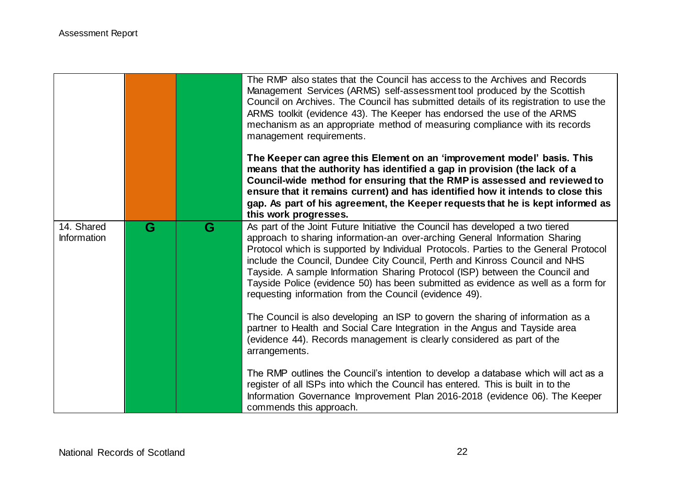|                                  |   |   | The RMP also states that the Council has access to the Archives and Records<br>Management Services (ARMS) self-assessment tool produced by the Scottish<br>Council on Archives. The Council has submitted details of its registration to use the<br>ARMS toolkit (evidence 43). The Keeper has endorsed the use of the ARMS<br>mechanism as an appropriate method of measuring compliance with its records<br>management requirements.<br>The Keeper can agree this Element on an 'improvement model' basis. This<br>means that the authority has identified a gap in provision (the lack of a<br>Council-wide method for ensuring that the RMP is assessed and reviewed to |
|----------------------------------|---|---|-----------------------------------------------------------------------------------------------------------------------------------------------------------------------------------------------------------------------------------------------------------------------------------------------------------------------------------------------------------------------------------------------------------------------------------------------------------------------------------------------------------------------------------------------------------------------------------------------------------------------------------------------------------------------------|
|                                  |   |   | ensure that it remains current) and has identified how it intends to close this<br>gap. As part of his agreement, the Keeper requests that he is kept informed as<br>this work progresses.                                                                                                                                                                                                                                                                                                                                                                                                                                                                                  |
| 14. Shared<br><b>Information</b> | G | G | As part of the Joint Future Initiative the Council has developed a two tiered<br>approach to sharing information-an over-arching General Information Sharing<br>Protocol which is supported by Individual Protocols. Parties to the General Protocol<br>include the Council, Dundee City Council, Perth and Kinross Council and NHS<br>Tayside. A sample Information Sharing Protocol (ISP) between the Council and<br>Tayside Police (evidence 50) has been submitted as evidence as well as a form for<br>requesting information from the Council (evidence 49).                                                                                                          |
|                                  |   |   | The Council is also developing an ISP to govern the sharing of information as a<br>partner to Health and Social Care Integration in the Angus and Tayside area<br>(evidence 44). Records management is clearly considered as part of the<br>arrangements.                                                                                                                                                                                                                                                                                                                                                                                                                   |
|                                  |   |   | The RMP outlines the Council's intention to develop a database which will act as a<br>register of all ISPs into which the Council has entered. This is built in to the<br>Information Governance Improvement Plan 2016-2018 (evidence 06). The Keeper<br>commends this approach.                                                                                                                                                                                                                                                                                                                                                                                            |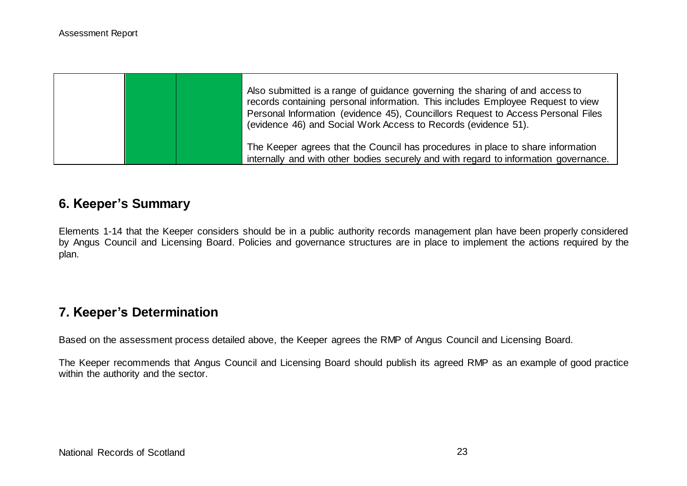|  | Also submitted is a range of guidance governing the sharing of and access to<br>records containing personal information. This includes Employee Request to view<br>Personal Information (evidence 45), Councillors Request to Access Personal Files<br>(evidence 46) and Social Work Access to Records (evidence 51). |
|--|-----------------------------------------------------------------------------------------------------------------------------------------------------------------------------------------------------------------------------------------------------------------------------------------------------------------------|
|  | The Keeper agrees that the Council has procedures in place to share information<br>internally and with other bodies securely and with regard to information governance.                                                                                                                                               |

## **6. Keeper's Summary**

Elements 1-14 that the Keeper considers should be in a public authority records management plan have been properly considered by Angus Council and Licensing Board. Policies and governance structures are in place to implement the actions required by the plan.

# **7. Keeper's Determination**

Based on the assessment process detailed above, the Keeper agrees the RMP of Angus Council and Licensing Board.

The Keeper recommends that Angus Council and Licensing Board should publish its agreed RMP as an example of good practice within the authority and the sector.